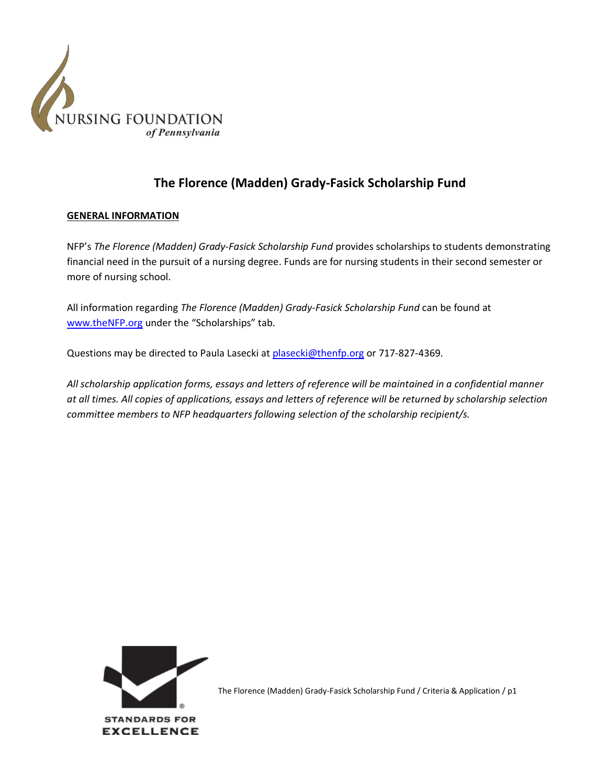

## **The Florence (Madden) Grady-Fasick Scholarship Fund**

### **GENERAL INFORMATION**

NFP's *The Florence (Madden) Grady-Fasick Scholarship Fund* provides scholarships to students demonstrating financial need in the pursuit of a nursing degree. Funds are for nursing students in their second semester or more of nursing school.

All information regarding *The Florence (Madden) Grady-Fasick Scholarship Fund* can be found at [www.theNFP.org](http://www.thenfp.org/) under the "Scholarships" tab.

Questions may be directed to Paula Lasecki a[t plasecki@thenfp.org](mailto:plasecki@thenfp.org) or 717-827-4369.

*All scholarship application forms, essays and letters of reference will be maintained in a confidential manner at all times. All copies of applications, essays and letters of reference will be returned by scholarship selection committee members to NFP headquarters following selection of the scholarship recipient/s.*

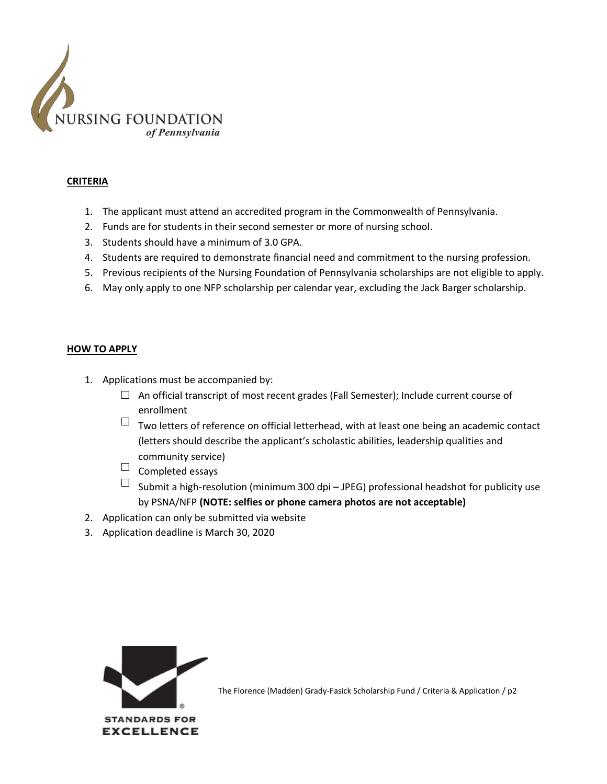

#### **CRITERIA**

- 1. The applicant must attend an accredited program in the Commonwealth of Pennsylvania.
- 2. Funds are for students in their second semester or more of nursing school.
- 3. Students should have a minimum of 3.0 GPA.
- 4. Students are required to demonstrate financial need and commitment to the nursing profession.
- 5. Previous recipients of the Nursing Foundation of Pennsylvania scholarships are not eligible to apply.
- 6. May only apply to one NFP scholarship per calendar year, excluding the Jack Barger scholarship.

#### **HOW TO APPLY**

- 1. Applications must be accompanied by:
	- $\Box$  An official transcript of most recent grades (Fall Semester); Include current course of enrollment
	- $\Box$  Two letters of reference on official letterhead, with at least one being an academic contact (letters should describe the applicant's scholastic abilities, leadership qualities and community service)
	- $\Box$  Completed essays
	- $\Box$  Submit a high-resolution (minimum 300 dpi JPEG) professional headshot for publicity use by PSNA/NFP **(NOTE: selfies or phone camera photos are not acceptable)**
- 2. Application can only be submitted via website
- 3. Application deadline is March 30, 2020

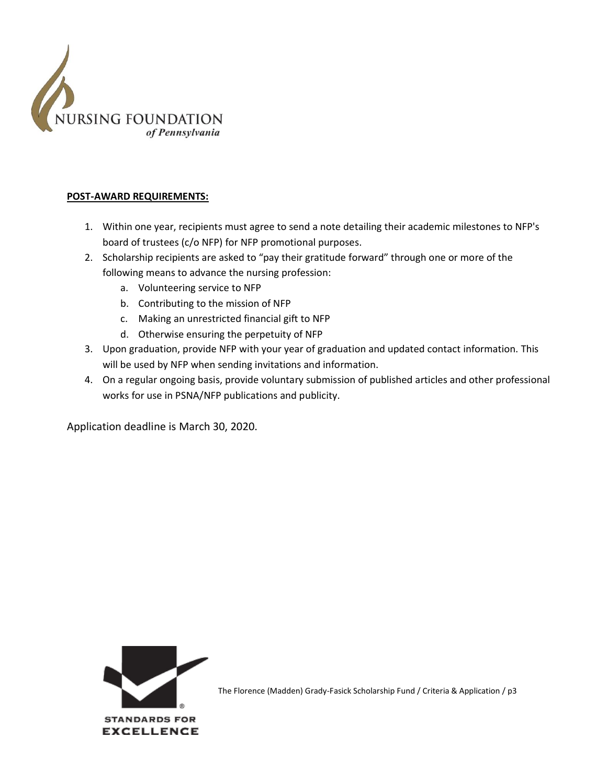

## **POST-AWARD REQUIREMENTS:**

- 1. Within one year, recipients must agree to send a note detailing their academic milestones to NFP's board of trustees (c/o NFP) for NFP promotional purposes.
- 2. Scholarship recipients are asked to "pay their gratitude forward" through one or more of the following means to advance the nursing profession:
	- a. Volunteering service to NFP
	- b. Contributing to the mission of NFP
	- c. Making an unrestricted financial gift to NFP
	- d. Otherwise ensuring the perpetuity of NFP
- 3. Upon graduation, provide NFP with your year of graduation and updated contact information. This will be used by NFP when sending invitations and information.
- 4. On a regular ongoing basis, provide voluntary submission of published articles and other professional works for use in PSNA/NFP publications and publicity.

Application deadline is March 30, 2020.